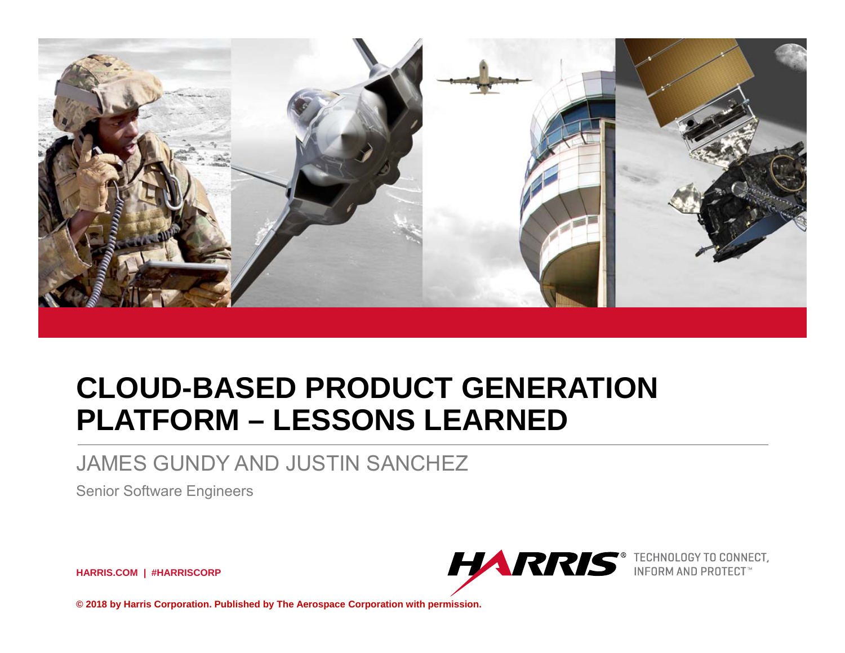

# **CLOUD-BASED PRODUCT GENERATION PLATFORM – LESSONS LEARNED**

#### JAMES GUNDY AND JUSTIN SANCHEZ

Senior Software Engineers

**HARRIS.COM | #HARRISCORP**



**© 2018 by Harris Corporation. Published by The Aerospace Corporation with permission.**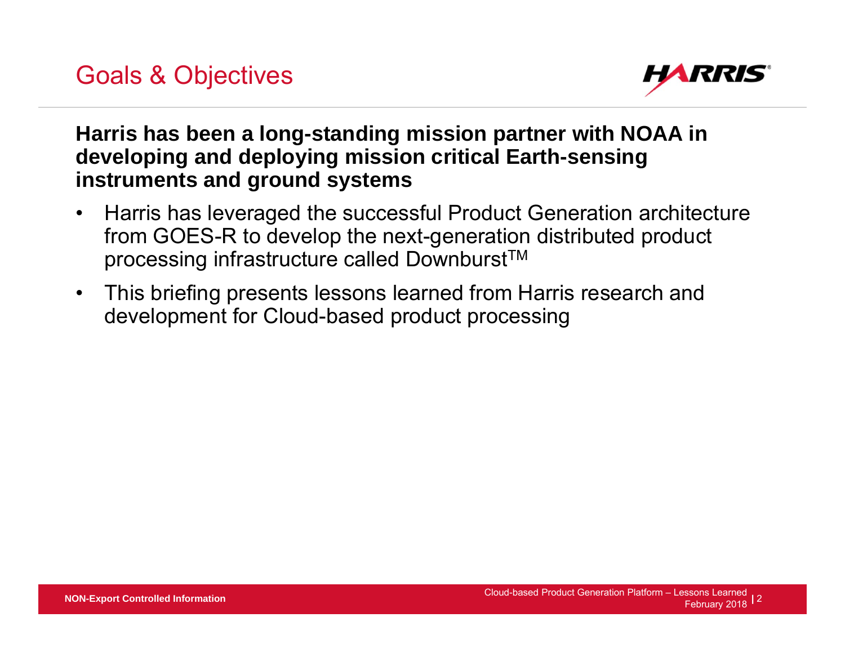

#### **Harris has been a long-standing mission partner with NOAA in developing and deploying mission critical Earth-sensing instruments and ground systems**

- $\bullet$  Harris has leveraged the successful Product Generation architecture from GOES-R to develop the next-generation distributed product processing infrastructure called Downburst<sup>™</sup>
- This briefing presents lessons learned from Harris research and development for Cloud-based product processing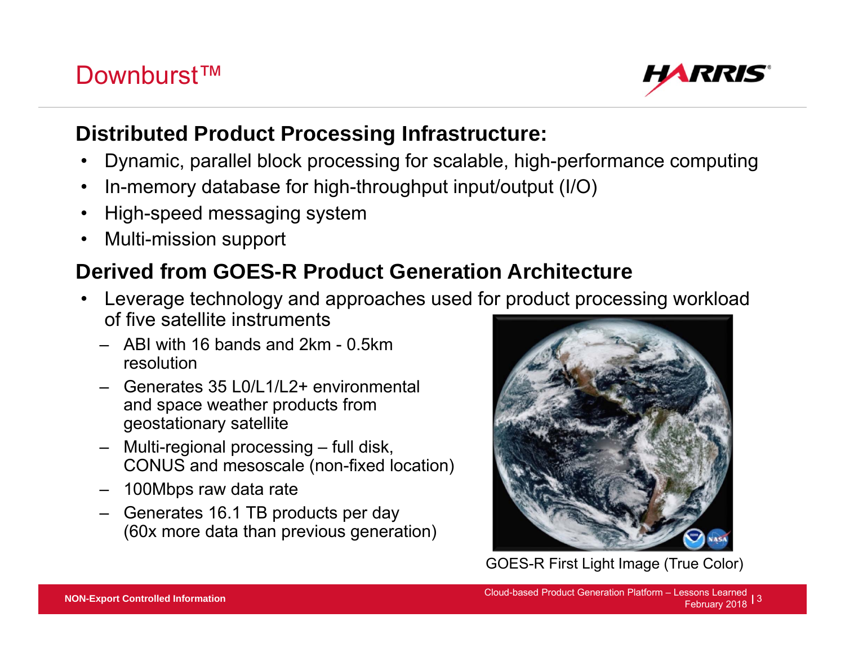### Downburst™

#### **Distributed Product Processing Infrastructure:**

- •Dynamic, parallel block processing for scalable, high-performance computing
- •In-memory database for high-throughput input/output (I/O)
- •High-speed messaging system
- •Multi-mission support

## **Derived from GOES-R Product Generation Architecture**

- • Leverage technology and approaches used for product processing workload of five satellite instruments
	- ‒ ABI with 16 bands and 2km 0.5km resolution
	- ‒ Generates 35 L0/L1/L2+ environmental and space weather products from geostationary satellite
	- ‒ Multi-regional processing full disk, CONUS and mesoscale (non-fixed location)
	- ‒ 100Mbps raw data rate
	- ‒ Generates 16.1 TB products per day (60x more data than previous generation)



GOES-R First Light Image (True Color)

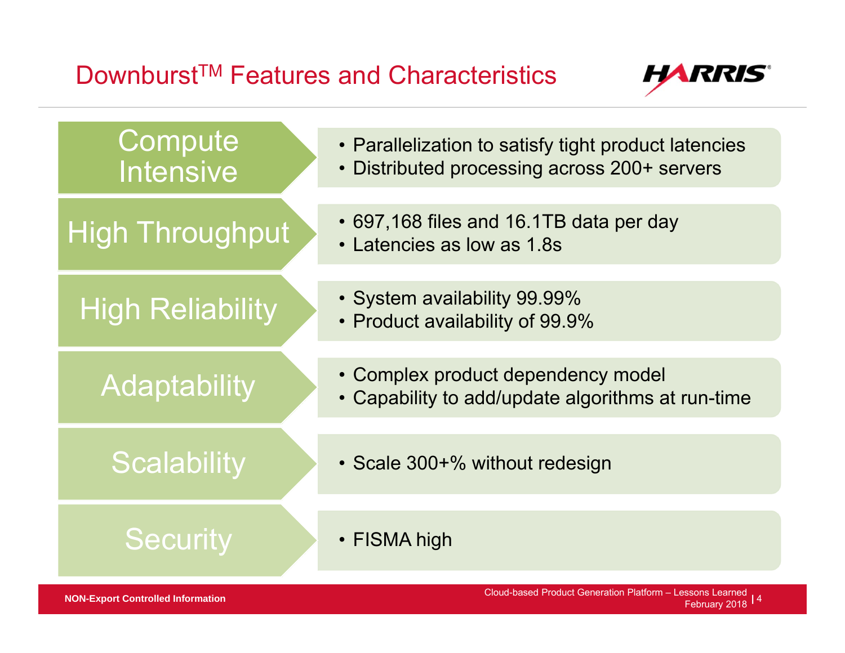## Downburst™ Features and Characteristics



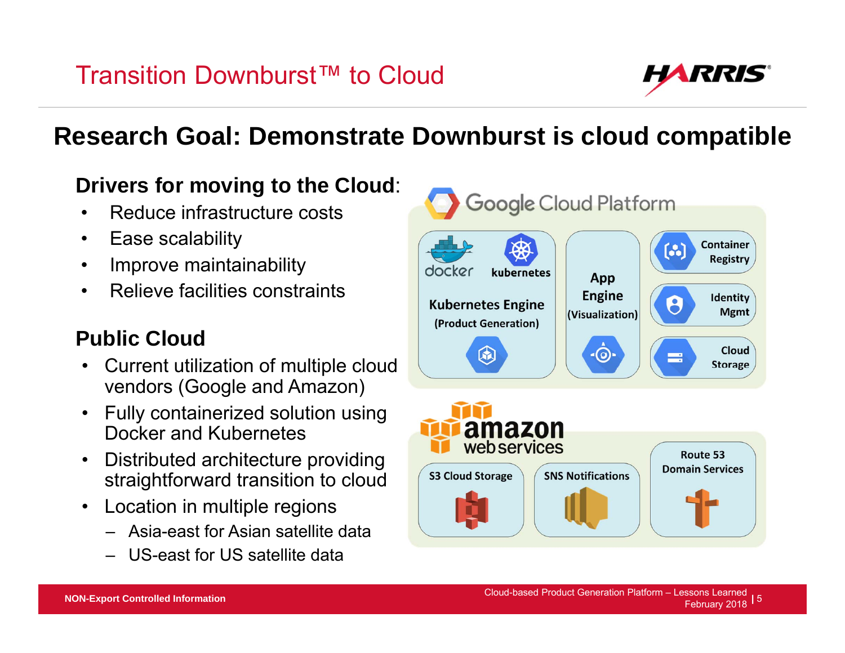

## **Research Goal: Demonstrate Downburst is cloud compatible**

## **Drivers for moving to the Cloud**:

- $\bullet$ Reduce infrastructure costs
- $\bullet$ Ease scalability
- $\bullet$ Improve maintainability
- $\bullet$ Relieve facilities constraints

## **Public Cloud**

- Current utilization of multiple cloud vendors (Google and Amazon)
- Fully containerized solution using Docker and Kubernetes
- Distributed architecture providing straightforward transition to cloud
- Location in multiple regions
	- ‒ Asia-east for Asian satellite data
	- ‒ US-east for US satellite data

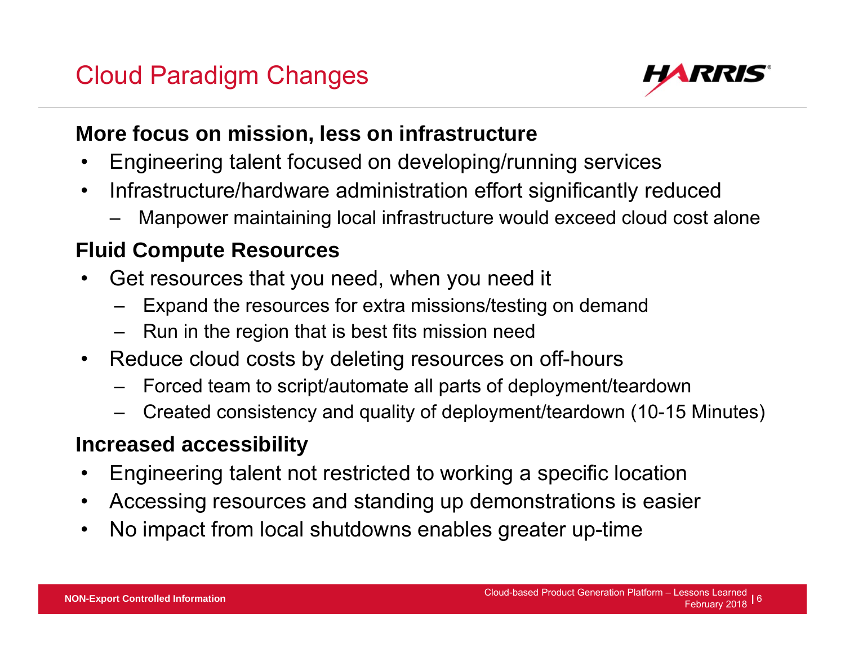## Cloud Paradigm Changes



#### **More focus on mission, less on infrastructure**

- •Engineering talent focused on developing/running services
- $\bullet$  Infrastructure/hardware administration effort significantly reduced
	- Manpower maintaining local infrastructure would exceed cloud cost alone

### **Fluid Compute Resources**

- • Get resources that you need, when you need it
	- Expand the resources for extra missions/testing on demand
	- ‒ Run in the region that is best fits mission need
- $\bullet$  Reduce cloud costs by deleting resources on off-hours
	- ‒ Forced team to script/automate all parts of deployment/teardown
	- Created consistency and quality of deployment/teardown (10-15 Minutes)

### **Increased accessibility**

- •Engineering talent not restricted to working a specific location
- •Accessing resources and standing up demonstrations is easier
- $\bullet$ No impact from local shutdowns enables greater up-time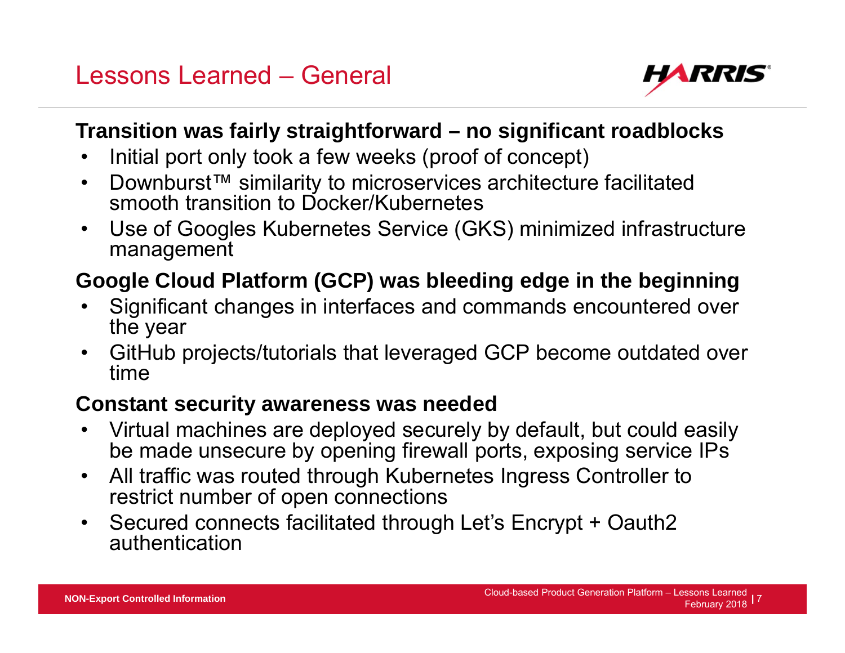

#### **Transition was fairly straightforward – no significant roadblocks**

- •Initial port only took a few weeks (proof of concept)
- $\bullet$  Downburst™ similarity to microservices architecture facilitated smooth transition to Docker/Kubernetes
- $\bullet$  Use of Googles Kubernetes Service (GKS) minimized infrastructure management

## **Google Cloud Platform (GCP) was bleeding edge in the beginning**

- • Significant changes in interfaces and commands encountered over the year
- $\bullet$  GitHub projects/tutorials that leveraged GCP become outdated over time

#### **Constant security awareness was needed**

- • Virtual machines are deployed securely by default, but could easily be made unsecure by opening firewall ports, exposing service IPs
- $\bullet$  All traffic was routed through Kubernetes Ingress Controller to restrict number of open connections
- Secured connects facilitated through Let's Encrypt + Oauth2 authentication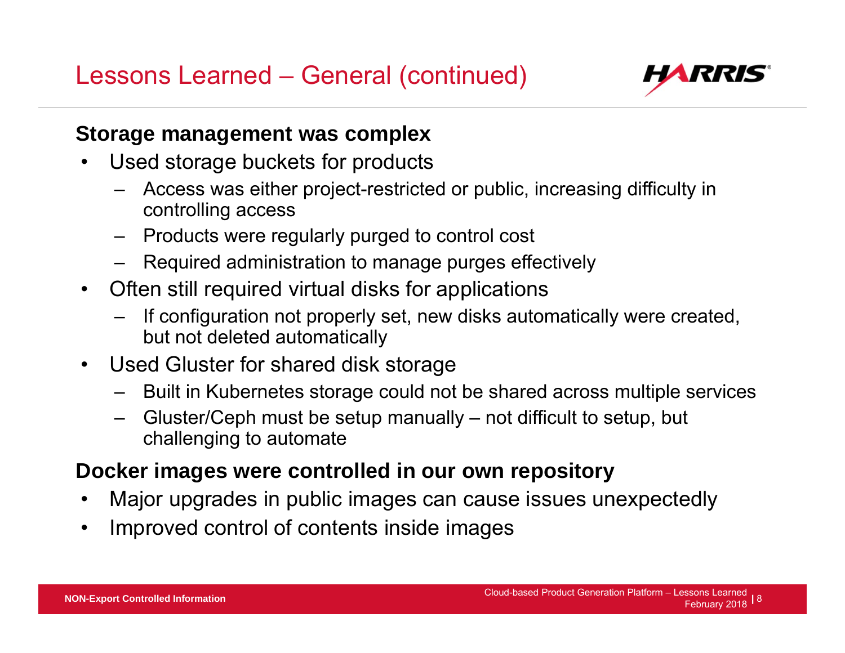Lessons Learned – General (continued)



#### **Storage management was complex**

- $\bullet$  Used storage buckets for products
	- ‒ Access was either project-restricted or public, increasing difficulty in controlling access
	- ‒ Products were regularly purged to control cost
	- ‒ Required administration to manage purges effectively
- Often still required virtual disks for applications
	- ‒ If configuration not properly set, new disks automatically were created, but not deleted automatically
- • Used Gluster for shared disk storage
	- ‒ Built in Kubernetes storage could not be shared across multiple services
	- ‒ Gluster/Ceph must be setup manually not difficult to setup, but challenging to automate

#### **Docker images were controlled in our own repository**

- •Major upgrades in public images can cause issues unexpectedly
- $\bullet$ Improved control of contents inside images